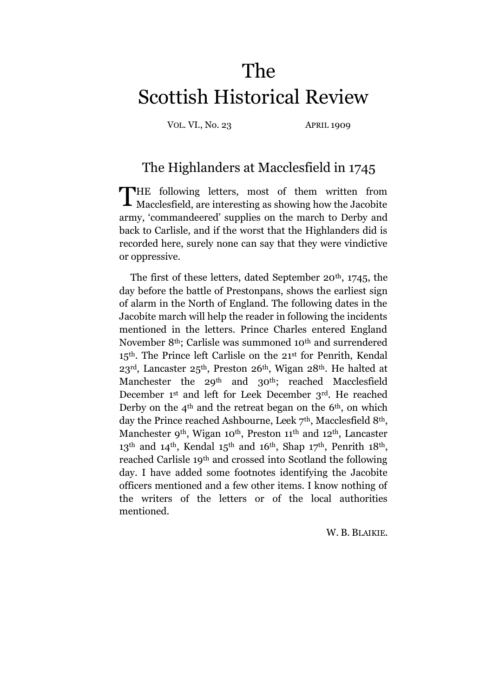# The Scottish Historical Review

VOL. VI., No. 23 APRIL 1909

# The Highlanders at Macclesfield in 1745

THE following letters, most of them written from Macclesfield, are interesting as showing how the Jacobite Macclesfield, are interesting as showing how the Jacobite army, 'commandeered' supplies on the march to Derby and back to Carlisle, and if the worst that the Highlanders did is recorded here, surely none can say that they were vindictive or oppressive.

The first of these letters, dated September 20<sup>th</sup>, 1745, the day before the battle of Prestonpans, shows the earliest sign of alarm in the North of England. The following dates in the Jacobite march will help the reader in following the incidents mentioned in the letters. Prince Charles entered England November 8th; Carlisle was summoned 10th and surrendered 15th. The Prince left Carlisle on the 21 st for Penrith, Kendal 23rd, Lancaster 25th, Preston 26th, Wigan 28th. He halted at Manchester the 29<sup>th</sup> and 30<sup>th</sup>; reached Macclesfield December 1st and left for Leek December 3rd. He reached Derby on the  $4<sup>th</sup>$  and the retreat began on the 6<sup>th</sup>, on which day the Prince reached Ashbourne, Leek 7<sup>th</sup>, Macclesfield 8<sup>th</sup>, Manchester 9<sup>th</sup>, Wigan 10<sup>th</sup>, Preston 11<sup>th</sup> and 12<sup>th</sup>, Lancaster 13<sup>th</sup> and 14<sup>th</sup>, Kendal 15<sup>th</sup> and 16<sup>th</sup>, Shap 17<sup>th</sup>, Penrith 18<sup>th</sup>, reached Carlisle 19th and crossed into Scotland the following day. I have added some footnotes identifying the Jacobite officers mentioned and a few other items. I know nothing of the writers of the letters or of the local authorities mentioned.

W. B. BLAIKIE.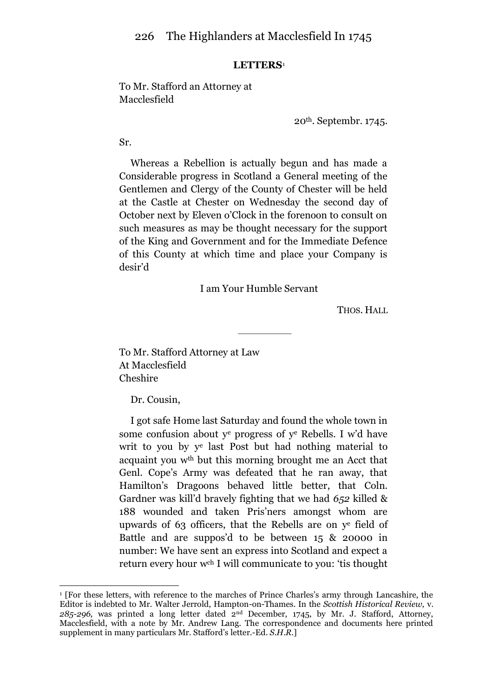### **LETTERS**<sup>1</sup>

# To Mr. Stafford an Attorney at Macclesfield

20th. Septembr. 1745.

Sr.

Whereas a Rebellion is actually begun and has made a Considerable progress in Scotland a General meeting of the Gentlemen and Clergy of the County of Chester will be held at the Castle at Chester on Wednesday the second day of October next by Eleven o'Clock in the forenoon to consult on such measures as may be thought necessary for the support of the King and Government and for the Immediate Defence of this County at which time and place your Company is desir'd

### I am Your Humble Servant

THOS. HALL

To Mr. Stafford Attorney at Law At Macclesfield Cheshire

Dr. Cousin,

<u>.</u>

I got safe Home last Saturday and found the whole town in some confusion about y<sup>e</sup> progress of y <sup>e</sup> Rebells. I w'd have writ to you by y e last Post but had nothing material to acquaint you wth but this morning brought me an Acct that Genl. Cope's Army was defeated that he ran away, that Hamilton's Dragoons behaved little better, that Coln. Gardner was kill'd bravely fighting that we had *652* killed & 188 wounded and taken Pris'ners amongst whom are upwards of 63 officers, that the Rebells are on y e field of Battle and are suppos'd to be between 15 & 20000 in number: We have sent an express into Scotland and expect a return every hour wch I will communicate to you: 'tis thought

<sup>1</sup> [For these letters, with reference to the marches of Prince Charles's army through Lancashire, the Editor is indebted to Mr. Walter Jerrold, Hampton-on-Thames. In the *Scottish Historical Review,* v. *285-296,* was printed a long letter dated 2nd December, 1745, by Mr. J. Stafford, Attorney, Macclesfield, with a note by Mr. Andrew Lang. The correspondence and documents here printed supplement in many particulars Mr. Stafford's letter.-Ed. *S.H.R.*]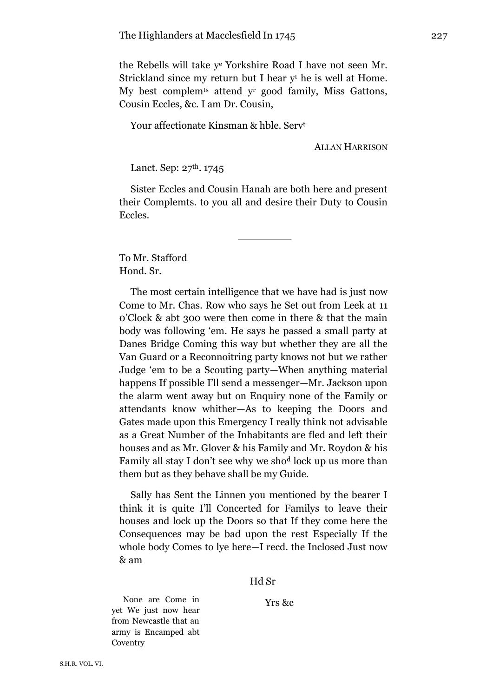the Rebells will take y <sup>e</sup> Yorkshire Road I have not seen Mr. Strickland since my return but I hear y<sup>t</sup> he is well at Home. My best complemts attend y<sup>r</sup> good family, Miss Gattons, Cousin Eccles, &c. I am Dr. Cousin,

Your affectionate Kinsman & hble. Serv<sup>t</sup>

ALLAN HARRISON

Lanct. Sep:  $27<sup>th</sup>$ . 1745

Sister Eccles and Cousin Hanah are both here and present their Complemts. to you all and desire their Duty to Cousin Eccles.

To Mr. Stafford Hond. Sr.

The most certain intelligence that we have had is just now Come to Mr. Chas. Row who says he Set out from Leek at 11 0'Clock & abt 300 were then come in there & that the main body was following 'em. He says he passed a small party at Danes Bridge Coming this way but whether they are all the Van Guard or a Reconnoitring party knows not but we rather Judge 'em to be a Scouting party—When anything material happens If possible I'll send a messenger—Mr. Jackson upon the alarm went away but on Enquiry none of the Family or attendants know whither—As to keeping the Doors and Gates made upon this Emergency I really think not advisable as a Great Number of the Inhabitants are fled and left their houses and as Mr. Glover & his Family and Mr. Roydon & his Family all stay I don't see why we sho<sup>d</sup> lock up us more than them but as they behave shall be my Guide.

Sally has Sent the Linnen you mentioned by the bearer I think it is quite I'll Concerted for Familys to leave their houses and lock up the Doors so that If they come here the Consequences may be bad upon the rest Especially If the whole body Comes to lye here—I recd. the Inclosed Just now & am

#### Hd Sr

None are Come in Yrs &c yet We just now hear from Newcastle that an army is Encamped abt **Coventry**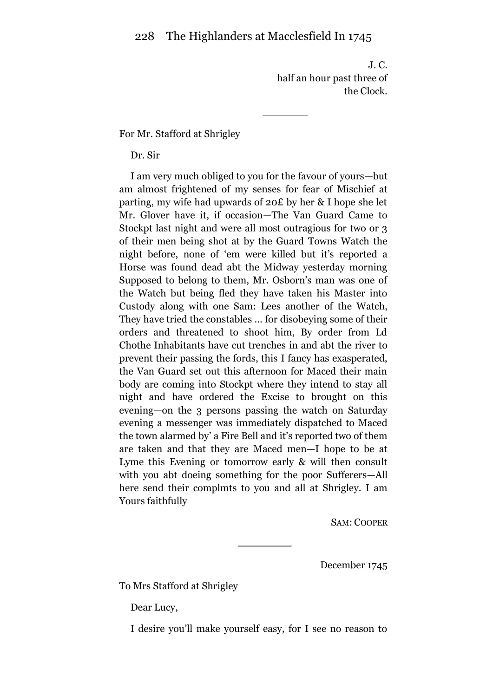J. C. half an hour past three of the Clock.

## For Mr. Stafford at Shrigley

Dr. Sir

I am very much obliged to you for the favour of yours—but am almost frightened of my senses for fear of Mischief at parting, my wife had upwards of 20£ by her & I hope she let Mr. Glover have it, if occasion—The Van Guard Came to Stockpt last night and were all most outragious for two or 3 of their men being shot at by the Guard Towns Watch the night before, none of 'em were killed but it's reported a Horse was found dead abt the Midway yesterday morning Supposed to belong to them, Mr. Osborn's man was one of the Watch but being fled they have taken his Master into Custody along with one Sam: Lees another of the Watch, They have tried the constables ... for disobeying some of their orders and threatened to shoot him, By order from Ld Chothe Inhabitants have cut trenches in and abt the river to prevent their passing the fords, this I fancy has exasperated, the Van Guard set out this afternoon for Maced their main body are coming into Stockpt where they intend to stay all night and have ordered the Excise to brought on this evening—on the 3 persons passing the watch on Saturday evening a messenger was immediately dispatched to Maced the town alarmed by' a Fire Bell and it's reported two of them are taken and that they are Maced men—I hope to be at Lyme this Evening or tomorrow early & will then consult with you abt doeing something for the poor Sufferers—All here send their complmts to you and all at Shrigley. I am Yours faithfully

SAM: COOPER

December 1745

To Mrs Stafford at Shrigley

Dear Lucy,

I desire you'll make yourself easy, for I see no reason to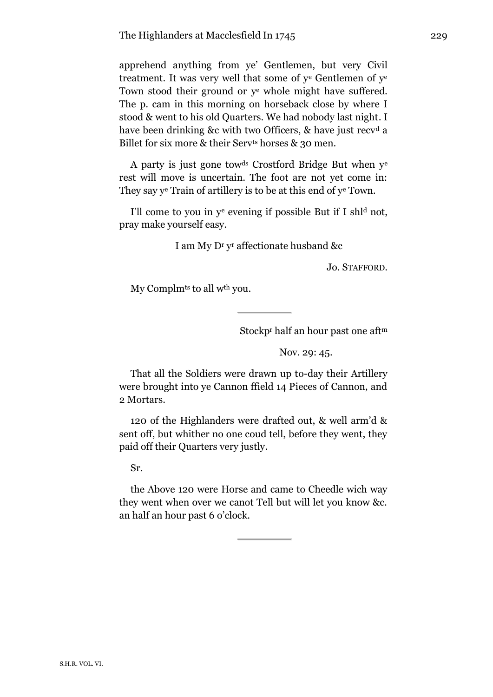apprehend anything from ye' Gentlemen, but very Civil treatment. It was very well that some of y<sup>e</sup> Gentlemen of y<sup>e</sup> Town stood their ground or y<sup>e</sup> whole might have suffered. The p. cam in this morning on horseback close by where I stood & went to his old Quarters. We had nobody last night. I have been drinking &c with two Officers, & have just recy<sup>d</sup> a Billet for six more & their Serv<sup>ts</sup> horses & 30 men.

A party is just gone towds Crostford Bridge But when y<sup>e</sup> rest will move is uncertain. The foot are not yet come in: They say y<sup>e</sup> Train of artillery is to be at this end of y<sup>e</sup> Town.

I'll come to you in  $y^e$  evening if possible But if I shl<sup>d</sup> not, pray make yourself easy.

I am My D<sup>r</sup> y <sup>r</sup> affectionate husband &c

Jo. STAFFORD.

My Complm<sup>ts</sup> to all w<sup>th</sup> you.

Stockp<sup>r</sup> half an hour past one aft<sup>m</sup>

Nov. 29: 45.

That all the Soldiers were drawn up to-day their Artillery were brought into ye Cannon ffield 14 Pieces of Cannon, and 2 Mortars.

120 of the Highlanders were drafted out, & well arm'd & sent off, but whither no one coud tell, before they went, they paid off their Quarters very justly.

Sr.

the Above 120 were Horse and came to Cheedle wich way they went when over we canot Tell but will let you know &c. an half an hour past 6 o'clock.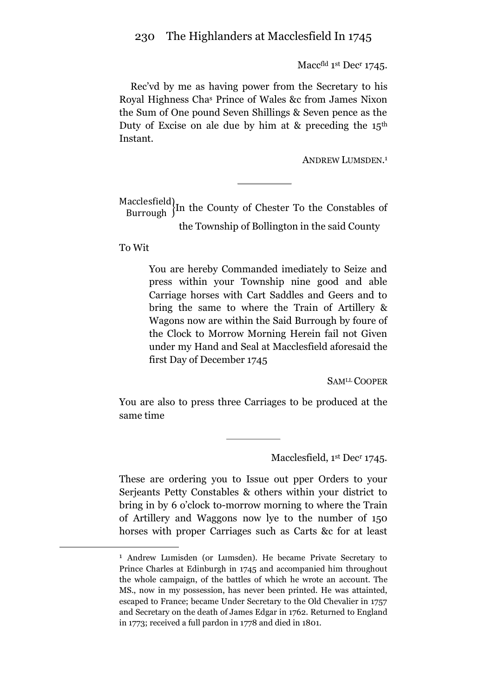Macc<sup>fld</sup> 1<sup>st</sup> Dec<sup>r</sup> 1745.

Rec'vd by me as having power from the Secretary to his Royal Highness Cha<sup>s</sup> Prince of Wales &c from James Nixon the Sum of One pound Seven Shillings & Seven pence as the Duty of Excise on ale due by him at  $\&$  preceding the 15<sup>th</sup> Instant.

ANDREW LUMSDEN. 1

Macclesfield)<br>Burrough  $\{In the County of Chester To the Constables of$ the Township of Bollington in the said County

To Wit

<u>.</u>

You are hereby Commanded imediately to Seize and press within your Township nine good and able Carriage horses with Cart Saddles and Geers and to bring the same to where the Train of Artillery & Wagons now are within the Said Burrough by foure of the Clock to Morrow Morning Herein fail not Given under my Hand and Seal at Macclesfield aforesaid the first Day of December 1745

SAMLL COOPER

You are also to press three Carriages to be produced at the same time

Macclesfield, 1<sup>st</sup> Dec<sup>r</sup> 1745.

These are ordering you to Issue out pper Orders to your Serjeants Petty Constables & others within your district to bring in by 6 o'clock to-morrow morning to where the Train of Artillery and Waggons now lye to the number of 150 horses with proper Carriages such as Carts &c for at least

<sup>1</sup> Andrew Lumisden (or Lumsden). He became Private Secretary to Prince Charles at Edinburgh in 1745 and accompanied him throughout the whole campaign, of the battles of which he wrote an account. The MS., now in my possession, has never been printed. He was attainted, escaped to France; became Under Secretary to the Old Chevalier in 1757 and Secretary on the death of James Edgar in 1762. Returned to England in 1773; received a full pardon in 1778 and died in 1801.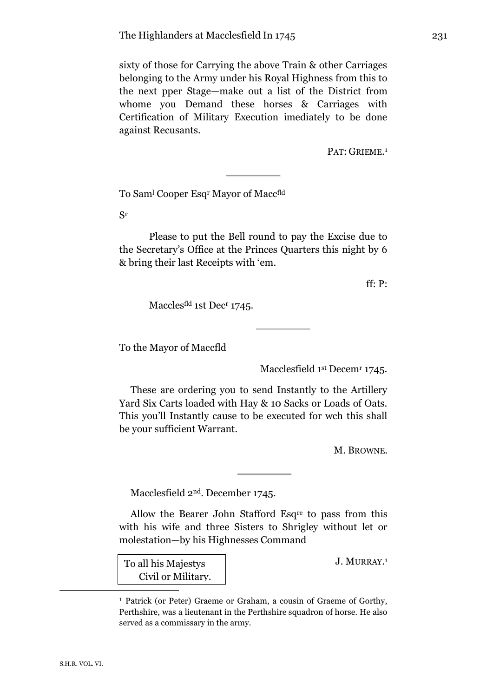sixty of those for Carrying the above Train & other Carriages belonging to the Army under his Royal Highness from this to the next pper Stage—make out a list of the District from whome you Demand these horses & Carriages with Certification of Military Execution imediately to be done against Recusants.

PAT: GRIEME.<sup>1</sup>

To Sam<sup>l</sup> Cooper Esq<sup>r</sup> Mayor of Maccfld

Sr

Please to put the Bell round to pay the Excise due to the Secretary's Office at the Princes Quarters this night by 6 & bring their last Receipts with 'em.

ff: P:

Maccles<sup>fld</sup> 1st Dec<sup>r</sup> 1745.

To the Mayor of Maccfld

Macclesfield 1st Decem<sup>r</sup> 1745.

These are ordering you to send Instantly to the Artillery Yard Six Carts loaded with Hay & 10 Sacks or Loads of Oats. This you'll Instantly cause to be executed for wch this shall be your sufficient Warrant.

M. BROWNE.

Macclesfield 2nd. December 1745.

Allow the Bearer John Stafford Esqre to pass from this with his wife and three Sisters to Shrigley without let or molestation—by his Highnesses Command

To all his Majestys Civil or Military. J. MURRAY. 1

<sup>1</sup> Patrick (or Peter) Graeme or Graham, a cousin of Graeme of Gorthy, Perthshire, was a lieutenant in the Perthshire squadron of horse. He also served as a commissary in the army.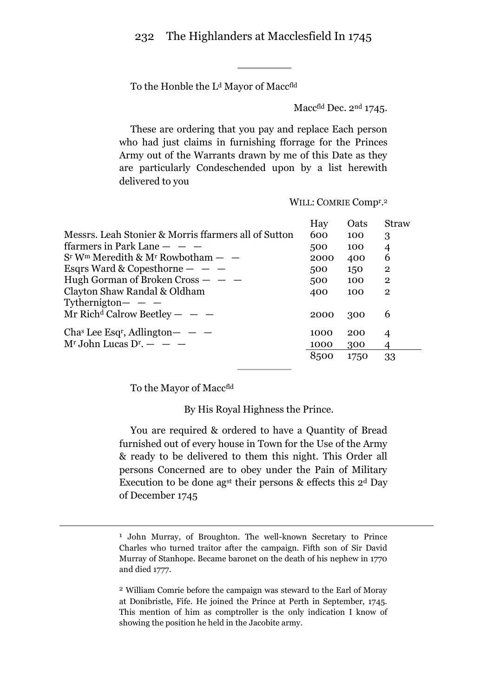To the Honble the L<sup>d</sup> Mayor of Maccfld

Maccfld Dec. 2<sup>nd</sup> 1745.

These are ordering that you pay and replace Each person who had just claims in furnishing fforrage for the Princes Army out of the Warrants drawn by me of this Date as they are particularly Condeschended upon by a list herewith delivered to you

|                                                              | Hay  | Oats | <b>Straw</b>   |
|--------------------------------------------------------------|------|------|----------------|
| Messrs. Leah Stonier & Morris ffarmers all of Sutton         | 600  | 100  | 3              |
| ffarmers in Park Lane $  -$                                  | 500  | 100  | 4              |
| $Sr$ W <sup>m</sup> Meredith & M <sup>r</sup> Rowbotham $ -$ | 2000 | 400  | 6              |
| Esqrs Ward & Copesthorne $  -$                               | 500  | 150  | $\overline{2}$ |
| Hugh Gorman of Broken $Cross - -$                            | 500  | 100  | $\mathbf{2}$   |
| Clayton Shaw Randal & Oldham                                 | 400  | 100  | $\mathbf{2}$   |
| Tythernigton $ -$                                            |      |      |                |
| Mr Rich <sup>d</sup> Calrow Beetley $ -$                     | 2000 | 300  | 6              |
|                                                              |      |      |                |
| Chas Lee Esq <sup>r</sup> , Adlington $ -$                   | 1000 | 200  | 4              |
| $Mr$ John Lucas D <sup>r</sup> . $ -$                        | 1000 | 300  | 4              |
|                                                              | 8500 | 1750 | 33             |

WILL: COMRIE Compr.<sup>2</sup>

To the Mayor of Maccfld

<u>.</u>

By His Royal Highness the Prince.

You are required & ordered to have a Quantity of Bread furnished out of every house in Town for the Use of the Army & ready to be delivered to them this night. This Order all persons Concerned are to obey under the Pain of Military Execution to be done agst their persons & effects this 2<sup>d</sup> Day of December 1745

2 William Comrie before the campaign was steward to the Earl of Moray at Donibristle, Fife. He joined the Prince at Perth in September, 1745. This mention of him as comptroller is the only indication I know of showing the position he held in the Jacobite army.

<sup>1</sup> John Murray, of Broughton. The well-known Secretary to Prince Charles who turned traitor after the campaign. Fifth son of Sir David Murray of Stanhope. Became baronet on the death of his nephew in 1770 and died 1777.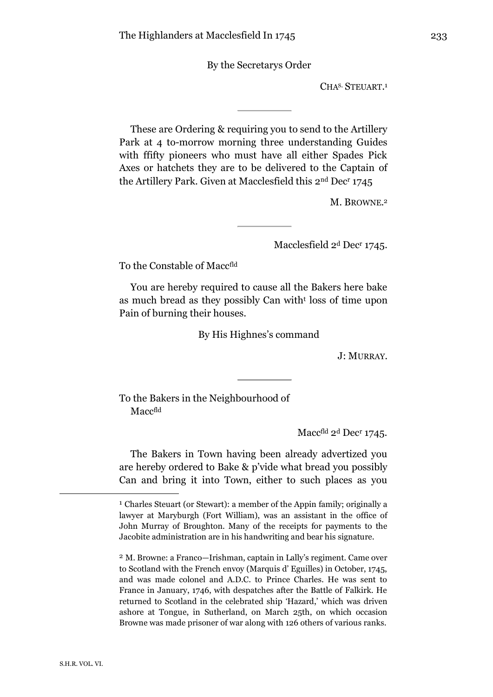By the Secretarys Order

CHA<sup>S</sup>. STEUART. 1

These are Ordering & requiring you to send to the Artillery Park at 4 to-morrow morning three understanding Guides with ffifty pioneers who must have all either Spades Pick Axes or hatchets they are to be delivered to the Captain of the Artillery Park. Given at Macclesfield this 2nd Dec<sup>r</sup> 1745

M. BROWNE. 2

Macclesfield 2<sup>d</sup> Dec<sup>r</sup> 1745.

To the Constable of Maccfld

You are hereby required to cause all the Bakers here bake as much bread as they possibly Can with<sup>t</sup> loss of time upon Pain of burning their houses.

By His Highnes's command

J: MURRAY.

To the Bakers in the Neighbourhood of Maccfld

Macc<sup>fld</sup> 2<sup>d</sup> Dec<sup>r</sup> 1745.

The Bakers in Town having been already advertized you are hereby ordered to Bake & p'vide what bread you possibly Can and bring it into Town, either to such places as you

<sup>1</sup> Charles Steuart (or Stewart): a member of the Appin family; originally a lawyer at Maryburgh (Fort William), was an assistant in the office of John Murray of Broughton. Many of the receipts for payments to the Jacobite administration are in his handwriting and bear his signature.

<sup>2</sup> M. Browne: a Franco—Irishman, captain in Lally's regiment. Came over to Scotland with the French envoy (Marquis d' Eguilles) in October, 1745, and was made colonel and A.D.C. to Prince Charles. He was sent to France in January, 1746, with despatches after the Battle of Falkirk. He returned to Scotland in the celebrated ship 'Hazard,' which was driven ashore at Tongue, in Sutherland, on March 25th, on which occasion Browne was made prisoner of war along with 126 others of various ranks.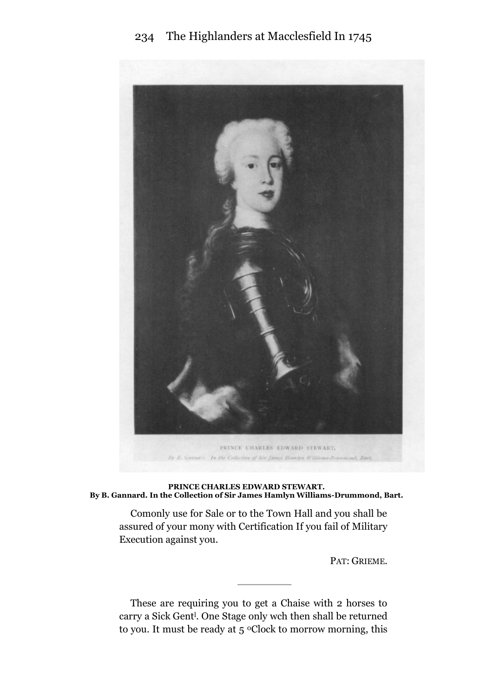# 234 The Highlanders at Macclesfield In 1745



**PRINCE CHARLES EDWARD STEWART. By B. Gannard. In the Collection of Sir James Hamlyn Williams-Drummond, Bart.**

Comonly use for Sale or to the Town Hall and you shall be assured of your mony with Certification If you fail of Military Execution against you.

PAT: GRIEME.

These are requiring you to get a Chaise with 2 horses to carry a Sick Gent<sup>1</sup>. One Stage only wch then shall be returned to you. It must be ready at 5 °Clock to morrow morning, this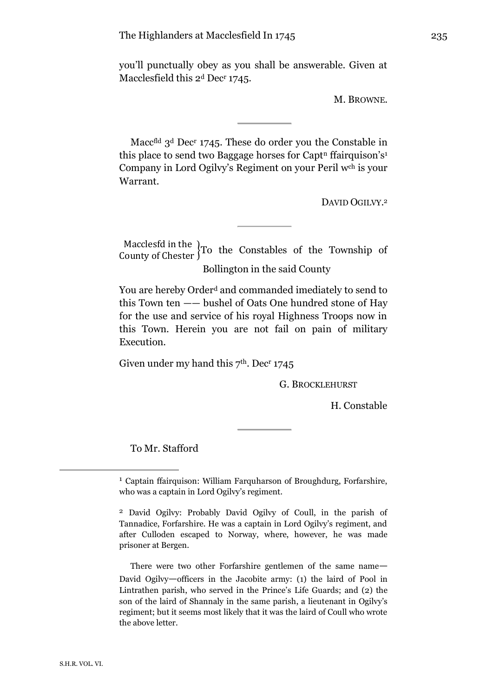you'll punctually obey as you shall be answerable. Given at Macclesfield this 2<sup>d</sup> Dec<sup>r</sup> 1745.

M. BROWNE.

Macc<sup>fld</sup> 3<sup>d</sup> Dec<sup>r</sup> 1745. These do order you the Constable in this place to send two Baggage horses for Capt<sup>n</sup> ffairquison's<sup>1</sup> Company in Lord Ogilvy's Regiment on your Peril wch is your Warrant.

DAVID OGILVY.<sup>2</sup>

Macclesfd in the  $}$ To the Constables of the Township of County of Chester  $}$ To the Constables of the Township of Bollington in the said County

You are hereby Order<sup>d</sup> and commanded imediately to send to this Town ten —— bushel of Oats One hundred stone of Hay for the use and service of his royal Highness Troops now in this Town. Herein you are not fail on pain of military Execution.

Given under my hand this  $7<sup>th</sup>$ . Dec<sup>r</sup> 1745

G. BROCKLEHURST

H. Constable

To Mr. Stafford

There were two other Forfarshire gentlemen of the same name— David Ogilvy—officers in the Jacobite army: (1) the laird of Pool in Lintrathen parish, who served in the Prince's Life Guards; and (2) the son of the laird of Shannaly in the same parish, a lieutenant in Ogilvy's regiment; but it seems most likely that it was the laird of Coull who wrote the above letter.

<sup>1</sup> Captain ffairquison: William Farquharson of Broughdurg, Forfarshire, who was a captain in Lord Ogilvy's regiment.

<sup>2</sup> David Ogilvy: Probably David Ogilvy of Coull, in the parish of Tannadice, Forfarshire. He was a captain in Lord Ogilvy's regiment, and after Culloden escaped to Norway, where, however, he was made prisoner at Bergen.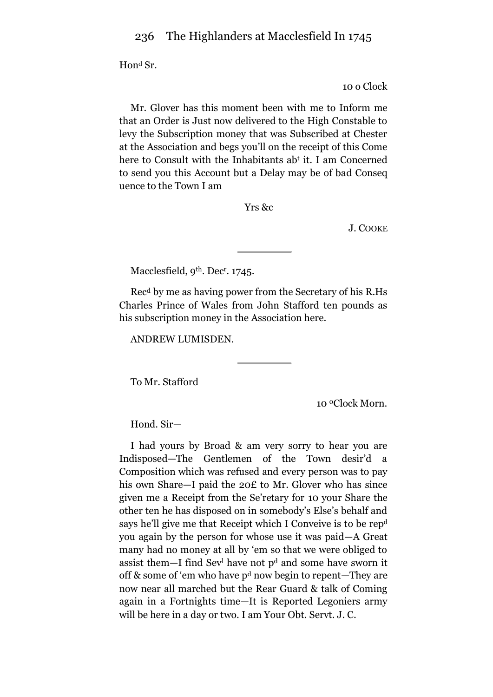Hon<sup>d</sup> Sr.

10 o Clock

Mr. Glover has this moment been with me to Inform me that an Order is Just now delivered to the High Constable to levy the Subscription money that was Subscribed at Chester at the Association and begs you'll on the receipt of this Come here to Consult with the Inhabitants ab<sup>t</sup> it. I am Concerned to send you this Account but a Delay may be of bad Conseq uence to the Town I am

Yrs &c

J. COOKE

Macclesfield, 9<sup>th</sup>. Dec<sup>r</sup>. 1745.

Rec <sup>d</sup> by me as having power from the Secretary of his R.Hs Charles Prince of Wales from John Stafford ten pounds as his subscription money in the Association here.

ANDREW LUMISDEN.

To Mr. Stafford

10 0Clock Morn.

Hond. Sir—

I had yours by Broad & am very sorry to hear you are Indisposed—The Gentlemen of the Town desir'd a Composition which was refused and every person was to pay his own Share—I paid the 20£ to Mr. Glover who has since given me a Receipt from the Se'retary for 10 your Share the other ten he has disposed on in somebody's Else's behalf and says he'll give me that Receipt which I Conveive is to be rep<sup>d</sup> you again by the person for whose use it was paid—A Great many had no money at all by 'em so that we were obliged to assist them—I find Sev<sup>l</sup> have not p<sup>d</sup> and some have sworn it off & some of 'em who have p<sup>d</sup> now begin to repent—They are now near all marched but the Rear Guard & talk of Coming again in a Fortnights time—It is Reported Legoniers army will be here in a day or two. I am Your Obt. Servt. J. C.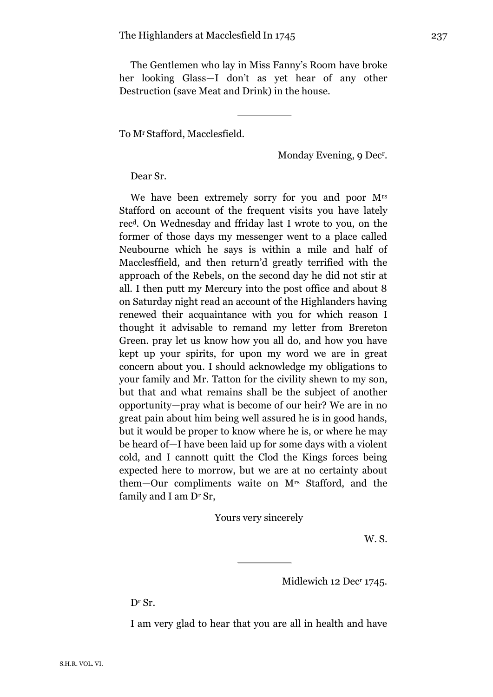The Gentlemen who lay in Miss Fanny's Room have broke her looking Glass—I don't as yet hear of any other Destruction (save Meat and Drink) in the house.

To Mr Stafford, Macclesfield.

Monday Evening, 9 Dec<sup>r</sup> .

Dear Sr.

We have been extremely sorry for you and poor Mrs Stafford on account of the frequent visits you have lately rec <sup>d</sup>. On Wednesday and ffriday last I wrote to you, on the former of those days my messenger went to a place called Neubourne which he says is within a mile and half of Macclesffield, and then return'd greatly terrified with the approach of the Rebels, on the second day he did not stir at all. I then putt my Mercury into the post office and about 8 on Saturday night read an account of the Highlanders having renewed their acquaintance with you for which reason I thought it advisable to remand my letter from Brereton Green. pray let us know how you all do, and how you have kept up your spirits, for upon my word we are in great concern about you. I should acknowledge my obligations to your family and Mr. Tatton for the civility shewn to my son, but that and what remains shall be the subject of another opportunity—pray what is become of our heir? We are in no great pain about him being well assured he is in good hands, but it would be proper to know where he is, or where he may be heard of—I have been laid up for some days with a violent cold, and I cannott quitt the Clod the Kings forces being expected here to morrow, but we are at no certainty about them—Our compliments waite on Mrs Stafford, and the family and I am Dr Sr,

Yours very sincerely

W. S.

Midlewich 12 Dec<sup>r</sup> 1745.

Dr Sr.

I am very glad to hear that you are all in health and have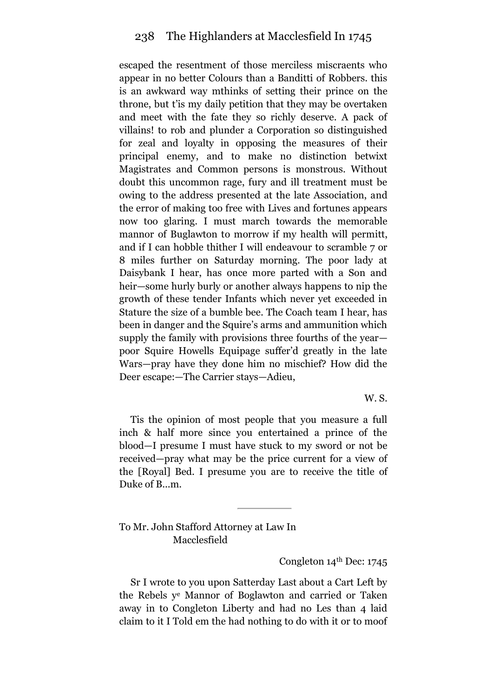escaped the resentment of those merciless miscraents who appear in no better Colours than a Banditti of Robbers. this is an awkward way mthinks of setting their prince on the throne, but t'is my daily petition that they may be overtaken and meet with the fate they so richly deserve. A pack of villains! to rob and plunder a Corporation so distinguished for zeal and loyalty in opposing the measures of their principal enemy, and to make no distinction betwixt Magistrates and Common persons is monstrous. Without doubt this uncommon rage, fury and ill treatment must be owing to the address presented at the late Association, and the error of making too free with Lives and fortunes appears now too glaring. I must march towards the memorable mannor of Buglawton to morrow if my health will permitt, and if I can hobble thither I will endeavour to scramble 7 or 8 miles further on Saturday morning. The poor lady at Daisybank I hear, has once more parted with a Son and heir—some hurly burly or another always happens to nip the growth of these tender Infants which never yet exceeded in Stature the size of a bumble bee. The Coach team I hear, has been in danger and the Squire's arms and ammunition which supply the family with provisions three fourths of the year poor Squire Howells Equipage suffer'd greatly in the late Wars—pray have they done him no mischief? How did the Deer escape:—The Carrier stays—Adieu,

W. S.

Tis the opinion of most people that you measure a full inch & half more since you entertained a prince of the blood—I presume I must have stuck to my sword or not be received—pray what may be the price current for a view of the [Royal] Bed. I presume you are to receive the title of Duke of B...m.

To Mr. John Stafford Attorney at Law In Macclesfield

Congleton 14th Dec: 1745

Sr I wrote to you upon Satterday Last about a Cart Left by the Rebels y<sup>e</sup> Mannor of Boglawton and carried or Taken away in to Congleton Liberty and had no Les than 4 laid claim to it I Told em the had nothing to do with it or to moof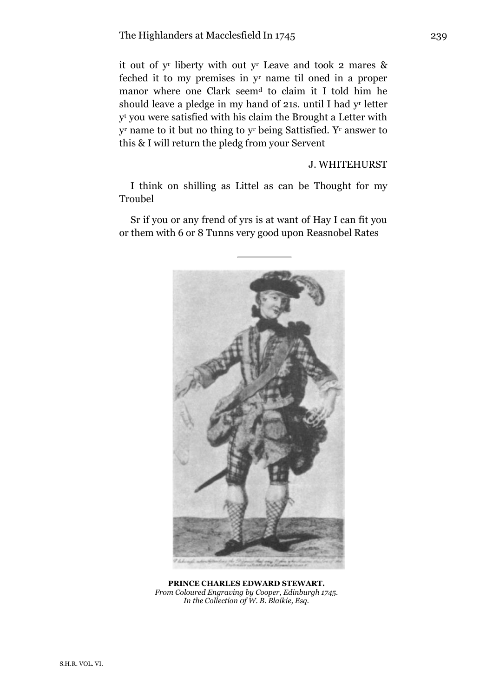it out of y r liberty with out y <sup>r</sup> Leave and took 2 mares & feched it to my premises in y <sup>r</sup> name til oned in a proper manor where one Clark seem<sup>d</sup> to claim it I told him he should leave a pledge in my hand of 21s. until I had y r letter y <sup>t</sup> you were satisfied with his claim the Brought a Letter with y <sup>r</sup> name to it but no thing to y <sup>r</sup> being Sattisfied. Y<sup>r</sup> answer to this & I will return the pledg from your Servent

J. WHITEHURST

I think on shilling as Littel as can be Thought for my Troubel

Sr if you or any frend of yrs is at want of Hay I can fit you or them with 6 or 8 Tunns very good upon Reasnobel Rates



**PRINCE CHARLES EDWARD STEWART.** *From Coloured Engraving by Cooper, Edinburgh 1745. In the Collection 0f W. B. Blaikie, Esq.*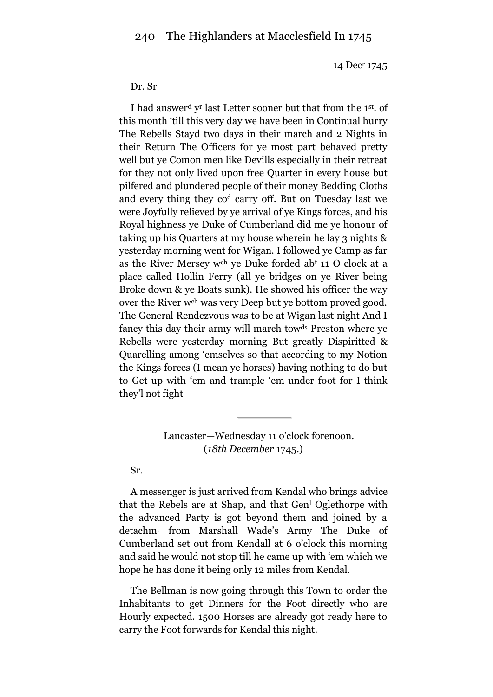14 Dec<sup>r</sup> 1745

#### Dr. Sr

I had answer<sup>d</sup> y r last Letter sooner but that from the 1st . of this month 'till this very day we have been in Continual hurry The Rebells Stayd two days in their march and 2 Nights in their Return The Officers for ye most part behaved pretty well but ye Comon men like Devills especially in their retreat for they not only lived upon free Quarter in every house but pilfered and plundered people of their money Bedding Cloths and every thing they co<sup>d</sup> carry off. But on Tuesday last we were Joyfully relieved by ye arrival of ye Kings forces, and his Royal highness ye Duke of Cumberland did me ye honour of taking up his Quarters at my house wherein he lay 3 nights & yesterday morning went for Wigan. I followed ye Camp as far as the River Mersey wch ye Duke forded ab<sup>t</sup> 11 O clock at a place called Hollin Ferry (all ye bridges on ye River being Broke down & ye Boats sunk). He showed his officer the way over the River wch was very Deep but ye bottom proved good. The General Rendezvous was to be at Wigan last night And I fancy this day their army will march towds Preston where ye Rebells were yesterday morning But greatly Dispiritted & Quarelling among 'emselves so that according to my Notion the Kings forces (I mean ye horses) having nothing to do but to Get up with 'em and trample 'em under foot for I think they'l not fight

## Lancaster—Wednesday 11 o'clock forenoon. (*18th December* 1745.)

#### Sr.

A messenger is just arrived from Kendal who brings advice that the Rebels are at Shap, and that Gen<sup>1</sup> Oglethorpe with the advanced Party is got beyond them and joined by a detachm<sup>t</sup> from Marshall Wade's Army The Duke of Cumberland set out from Kendall at 6 o'clock this morning and said he would not stop till he came up with 'em which we hope he has done it being only 12 miles from Kendal.

The Bellman is now going through this Town to order the Inhabitants to get Dinners for the Foot directly who are Hourly expected. 1500 Horses are already got ready here to carry the Foot forwards for Kendal this night.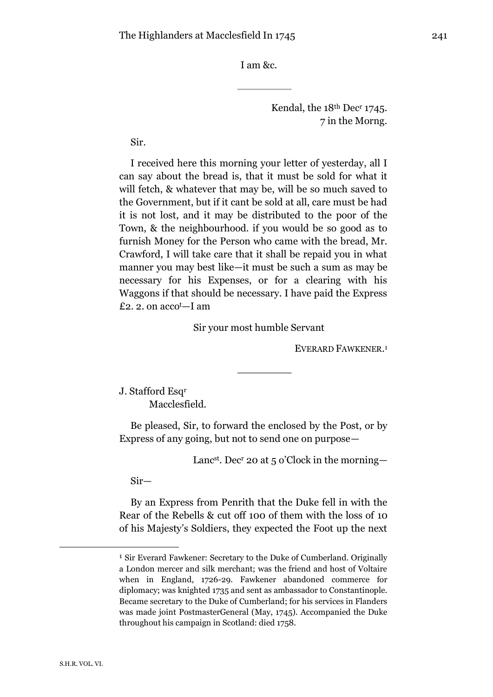I am &c.

Kendal, the 18<sup>th</sup> Dec<sup>r</sup> 1745. 7 in the Morng.

Sir.

I received here this morning your letter of yesterday, all I can say about the bread is, that it must be sold for what it will fetch, & whatever that may be, will be so much saved to the Government, but if it cant be sold at all, care must be had it is not lost, and it may be distributed to the poor of the Town, & the neighbourhood. if you would be so good as to furnish Money for the Person who came with the bread, Mr. Crawford, I will take care that it shall be repaid you in what manner you may best like—it must be such a sum as may be necessary for his Expenses, or for a clearing with his Waggons if that should be necessary. I have paid the Express £2. 2. on accot—I am

Sir your most humble Servant

EVERARD FAWKENER. 1

J. Stafford Esq<sup>r</sup> Macclesfield.

Be pleased, Sir, to forward the enclosed by the Post, or by Express of any going, but not to send one on purpose—

Lancst . Dec<sup>r</sup> 20 at 5 o'Clock in the morning—

Sir—

By an Express from Penrith that the Duke fell in with the Rear of the Rebells & cut off 100 of them with the loss of 10 of his Majesty's Soldiers, they expected the Foot up the next

<sup>1</sup> Sir Everard Fawkener: Secretary to the Duke of Cumberland. Originally a London mercer and silk merchant; was the friend and host of Voltaire when in England, 1726-29. Fawkener abandoned commerce for diplomacy; was knighted 1735 and sent as ambassador to Constantinople. Became secretary to the Duke of Cumberland; for his services in Flanders was made joint PostmasterGeneral (May, 1745). Accompanied the Duke throughout his campaign in Scotland: died 1758.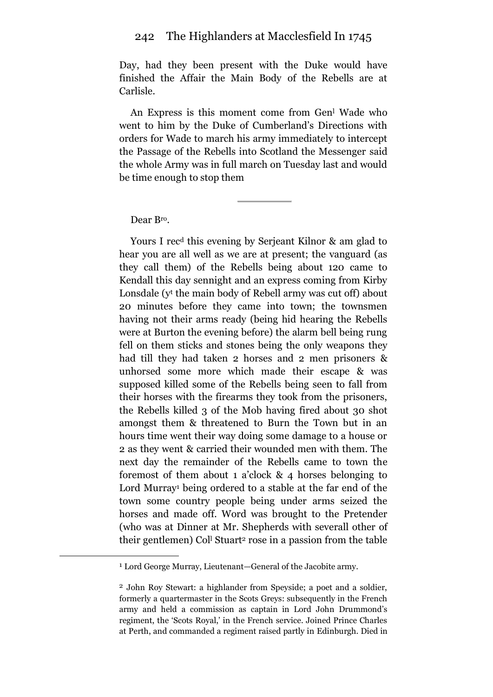Day, had they been present with the Duke would have finished the Affair the Main Body of the Rebells are at Carlisle.

An Express is this moment come from Gen<sup>l</sup> Wade who went to him by the Duke of Cumberland's Directions with orders for Wade to march his army immediately to intercept the Passage of the Rebells into Scotland the Messenger said the whole Army was in full march on Tuesday last and would be time enough to stop them

Dear Bro.

<u>.</u>

Yours I rec<sup>d</sup> this evening by Serjeant Kilnor & am glad to hear you are all well as we are at present; the vanguard (as they call them) of the Rebells being about 120 came to Kendall this day sennight and an express coming from Kirby Lonsdale (y<sup>t</sup> the main body of Rebell army was cut off) about 20 minutes before they came into town; the townsmen having not their arms ready (being hid hearing the Rebells were at Burton the evening before) the alarm bell being rung fell on them sticks and stones being the only weapons they had till they had taken 2 horses and 2 men prisoners & unhorsed some more which made their escape & was supposed killed some of the Rebells being seen to fall from their horses with the firearms they took from the prisoners, the Rebells killed 3 of the Mob having fired about 30 shot amongst them & threatened to Burn the Town but in an hours time went their way doing some damage to a house or 2 as they went & carried their wounded men with them. The next day the remainder of the Rebells came to town the foremost of them about 1 a'clock & 4 horses belonging to Lord Murray<sup>1</sup> being ordered to a stable at the far end of the town some country people being under arms seized the horses and made off. Word was brought to the Pretender (who was at Dinner at Mr. Shepherds with severall other of their gentlemen) Col<sup>l</sup> Stuart<sup>2</sup> rose in a passion from the table

<sup>1</sup> Lord George Murray, Lieutenant—General of the Jacobite army.

<sup>2</sup> John Roy Stewart: a highlander from Speyside; a poet and a soldier, formerly a quartermaster in the Scots Greys: subsequently in the French army and held a commission as captain in Lord John Drummond's regiment, the 'Scots Royal,' in the French service. Joined Prince Charles at Perth, and commanded a regiment raised partly in Edinburgh. Died in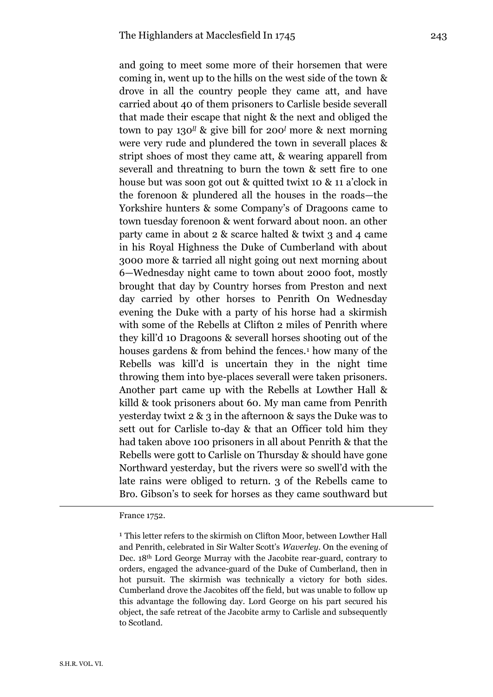and going to meet some more of their horsemen that were coming in, went up to the hills on the west side of the town & drove in all the country people they came att, and have carried about 40 of them prisoners to Carlisle beside severall that made their escape that night & the next and obliged the town to pay 130*ll* & give bill for 200*<sup>l</sup>* more & next morning were very rude and plundered the town in severall places & stript shoes of most they came att, & wearing apparell from severall and threatning to burn the town & sett fire to one house but was soon got out & quitted twixt 10 & 11 a'clock in the forenoon & plundered all the houses in the roads—the Yorkshire hunters & some Company's of Dragoons came to town tuesday forenoon & went forward about noon. an other party came in about 2 & scarce halted & twixt 3 and 4 came in his Royal Highness the Duke of Cumberland with about 3000 more & tarried all night going out next morning about 6—Wednesday night came to town about 2000 foot, mostly brought that day by Country horses from Preston and next day carried by other horses to Penrith On Wednesday evening the Duke with a party of his horse had a skirmish with some of the Rebells at Clifton 2 miles of Penrith where they kill'd 10 Dragoons & severall horses shooting out of the houses gardens & from behind the fences.<sup>1</sup> how many of the Rebells was kill'd is uncertain they in the night time throwing them into bye-places severall were taken prisoners. Another part came up with the Rebells at Lowther Hall & killd & took prisoners about 60. My man came from Penrith yesterday twixt 2 & 3 in the afternoon & says the Duke was to sett out for Carlisle to-day & that an Officer told him they had taken above 100 prisoners in all about Penrith & that the Rebells were gott to Carlisle on Thursday & should have gone Northward yesterday, but the rivers were so swell'd with the late rains were obliged to return. 3 of the Rebells came to Bro. Gibson's to seek for horses as they came southward but

France 1752.

<sup>&</sup>lt;sup>1</sup> This letter refers to the skirmish on Clifton Moor, between Lowther Hall and Penrith, celebrated in Sir Walter Scott's *Waverley.* On the evening of Dec. 18th Lord George Murray with the Jacobite rear-guard, contrary to orders, engaged the advance-guard of the Duke of Cumberland, then in hot pursuit. The skirmish was technically a victory for both sides. Cumberland drove the Jacobites off the field, but was unable to follow up this advantage the following day. Lord George on his part secured his object, the safe retreat of the Jacobite army to Carlisle and subsequently to Scotland.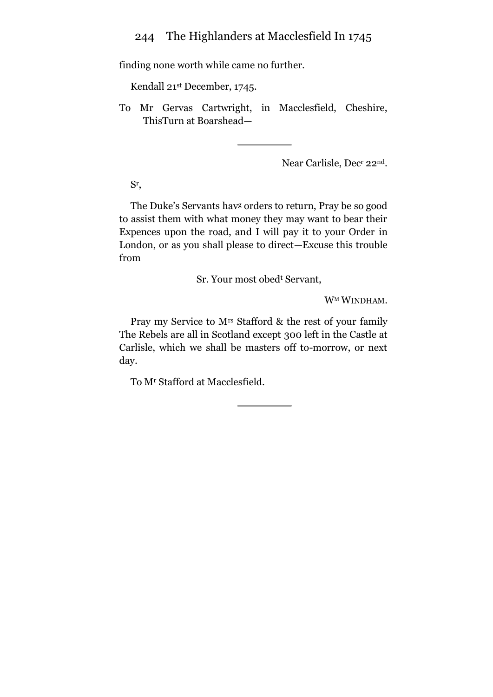finding none worth while came no further.

Kendall 21st December, 1745.

To Mr Gervas Cartwright, in Macclesfield, Cheshire, ThisTurn at Boarshead—

Near Carlisle, Dec<sup>r</sup> 22nd.

Sr ,

The Duke's Servants hav<sup>g</sup> orders to return, Pray be so good to assist them with what money they may want to bear their Expences upon the road, and I will pay it to your Order in London, or as you shall please to direct—Excuse this trouble from

Sr. Your most obed<sup>t</sup> Servant,

W<sup>M</sup> WINDHAM.

Pray my Service to Mrs Stafford & the rest of your family The Rebels are all in Scotland except 300 left in the Castle at Carlisle, which we shall be masters off to-morrow, or next day.

To M<sup>r</sup> Stafford at Macclesfield.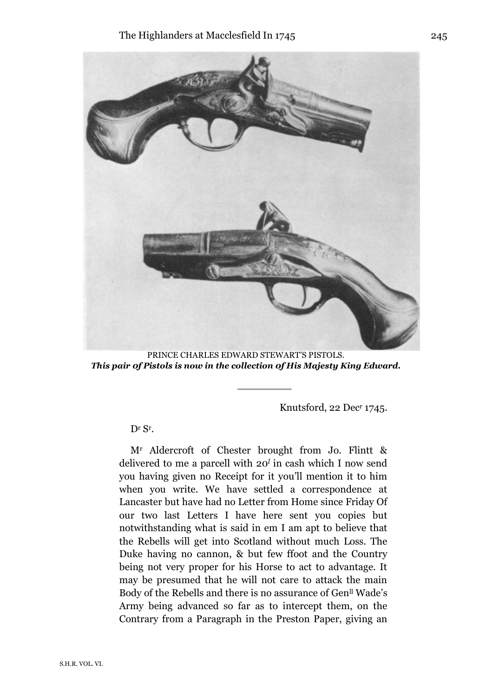

PRINCE CHARLES EDWARD STEWART'S PISTOLS. *This pair 0f Pistols is now in the collection 0f His Majesty King Edward.*

Knutsford, 22 Dec<sup>r</sup> 1745.

Dr Sr.

M<sup>r</sup> Aldercroft of Chester brought from Jo. Flintt & delivered to me a parcell with 20*<sup>l</sup>* in cash which I now send you having given no Receipt for it you'll mention it to him when you write. We have settled a correspondence at Lancaster but have had no Letter from Home since Friday Of our two last Letters I have here sent you copies but notwithstanding what is said in em I am apt to believe that the Rebells will get into Scotland without much Loss. The Duke having no cannon, & but few ffoot and the Country being not very proper for his Horse to act to advantage. It may be presumed that he will not care to attack the main Body of the Rebells and there is no assurance of Gen<sup>ll</sup> Wade's Army being advanced so far as to intercept them, on the Contrary from a Paragraph in the Preston Paper, giving an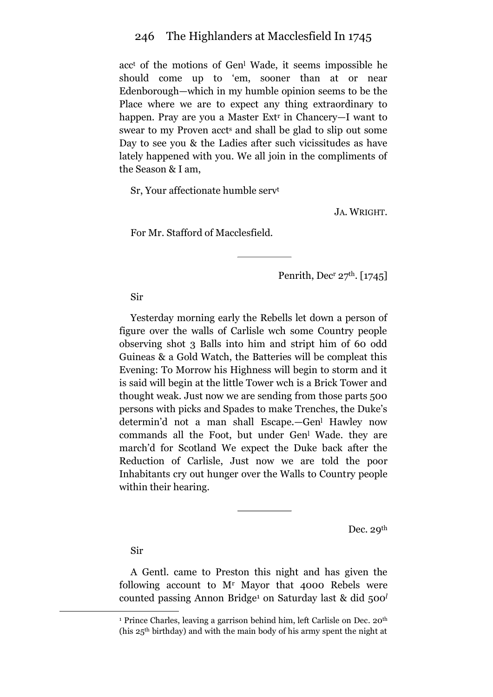acc<sup>t</sup> of the motions of Gen<sup>l</sup> Wade, it seems impossible he should come up to 'em, sooner than at or near Edenborough—which in my humble opinion seems to be the Place where we are to expect any thing extraordinary to happen. Pray are you a Master Ext<sup>r</sup> in Chancery—I want to swear to my Proven accts and shall be glad to slip out some Day to see you & the Ladies after such vicissitudes as have lately happened with you. We all join in the compliments of the Season & I am,

Sr, Your affectionate humble serv<sup>t</sup>

JA. WRIGHT.

For Mr. Stafford of Macclesfield.

Penrith, Decr  $27<sup>th</sup>$ . [1745]

Sir

Yesterday morning early the Rebells let down a person of figure over the walls of Carlisle wch some Country people observing shot 3 Balls into him and stript him of 60 odd Guineas & a Gold Watch, the Batteries will be compleat this Evening: To Morrow his Highness will begin to storm and it is said will begin at the little Tower wch is a Brick Tower and thought weak. Just now we are sending from those parts 500 persons with picks and Spades to make Trenches, the Duke's determin'd not a man shall Escape.—Gen<sup>l</sup> Hawley now commands all the Foot, but under Gen<sup>l</sup> Wade. they are march'd for Scotland We expect the Duke back after the Reduction of Carlisle, Just now we are told the poor Inhabitants cry out hunger over the Walls to Country people within their hearing.

Dec. 29<sup>th</sup>

Sir

<u>.</u>

A Gentl. came to Preston this night and has given the following account to M<sup>r</sup> Mayor that 4000 Rebels were counted passing Annon Bridge<sup>1</sup> on Saturday last & did 500*<sup>l</sup>*

<sup>&</sup>lt;sup>1</sup> Prince Charles, leaving a garrison behind him, left Carlisle on Dec. 20<sup>th</sup> (his 25th birthday) and with the main body of his army spent the night at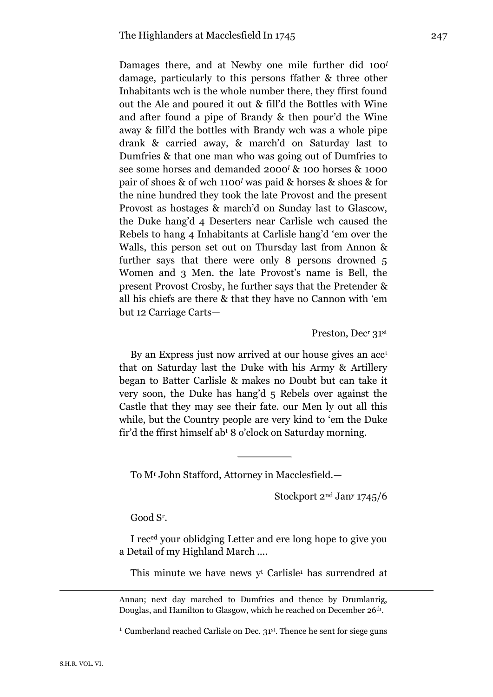Damages there, and at Newby one mile further did 100*<sup>l</sup>* damage, particularly to this persons ffather & three other Inhabitants wch is the whole number there, they ffirst found out the Ale and poured it out & fill'd the Bottles with Wine and after found a pipe of Brandy & then pour'd the Wine away & fill'd the bottles with Brandy wch was a whole pipe drank & carried away, & march'd on Saturday last to Dumfries & that one man who was going out of Dumfries to see some horses and demanded 2000*<sup>l</sup>* & 100 horses & 1000 pair of shoes & of wch 1100*<sup>l</sup>* was paid & horses & shoes & for the nine hundred they took the late Provost and the present Provost as hostages & march'd on Sunday last to Glascow, the Duke hang'd 4 Deserters near Carlisle wch caused the Rebels to hang 4 Inhabitants at Carlisle hang'd 'em over the Walls, this person set out on Thursday last from Annon & further says that there were only 8 persons drowned 5 Women and 3 Men. the late Provost's name is Bell, the present Provost Crosby, he further says that the Pretender & all his chiefs are there & that they have no Cannon with 'em but 12 Carriage Carts—

Preston, Dec<sup>r</sup> 31st

By an Express just now arrived at our house gives an acc<sup>t</sup> that on Saturday last the Duke with his Army & Artillery began to Batter Carlisle & makes no Doubt but can take it very soon, the Duke has hang'd 5 Rebels over against the Castle that they may see their fate. our Men ly out all this while, but the Country people are very kind to 'em the Duke fir'd the ffirst himself ab<sup>t</sup> 8 o'clock on Saturday morning.

To M<sup>r</sup> John Stafford, Attorney in Macclesfield.—

Stockport 2nd Jan<sup>y</sup> 1745/6

Good S<sup>r</sup> .

I reced your oblidging Letter and ere long hope to give you a Detail of my Highland March ....

This minute we have news y<sup>t</sup> Carlisle<sup>1</sup> has surrendred at

Annan; next day marched to Dumfries and thence by Drumlanrig, Douglas, and Hamilton to Glasgow, which he reached on December 26<sup>th</sup>.

<sup>1</sup> Cumberland reached Carlisle on Dec. 31st. Thence he sent for siege guns